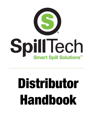

# Distributor Handbook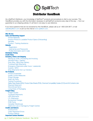

# Distributor HandBook

As a SpillTech Distributor, your knowledge of SpillTech<sup>®</sup> products and procedures is vital to your success. This HandBook provides you with the information necessary to sell SpillTech products every step of the way — from our guarantee to our shipping policies; it's all here in one easy-to-use reference.

If you have questions that are not answered by this HandBook, please call us at 1-800-228-3877, e-mail [sales@spilltech.com o](mailto:sales@spilltech.com)r join our live chat at [www.spilltech.com.](http://www.spilltech.com/)

#### Who We Are [Sales and Marketing Support](#page-2-0) [Printed Materials](#page-2-0)  Product Photos [& Loadable Product Specs \(Onboarding\)](#page-2-0)  **[Samples](#page-2-0)** Product [/ Training Assistance](#page-2-0) **[Website](#page-2-0) [Registration](#page-3-0)** [Usernames and Passwords](#page-3-0) [Profile Information and E-mails](#page-3-0) [Distributor Pricing](#page-3-0) [Credit Policy](#page-3-0) [Inventory, Orders and Shipping](#page-4-0) [Placing an Order, Processing and Invoicing](#page-4-0) [Stocked Policy / Delivery](#page-4-0) [Drop Ship / Blind Ship Delivery](#page-5-0) [Truckload Split Shipments](#page-5-0) [Emergency Shipments \(after hours / weekends\)](#page-5-0) [Custom / MTO](#page-5-0) [Drop Shipments from our Vendors](#page-5-0) [Our Products](#page-6-0) [Product Guarantee](#page-6-0) [Quality Control Measures](#page-6-0) [Proper Storage](#page-6-0) [Shelf Life Policy](#page-6-0) [Testing Procedures](#page-6-0) [Safety Data Sheets \(SDS\), Product Data Sheets \(PDS\), Chemical Compatibility Guides \(CCG\) and Kit Contents Lists](#page-6-0) [Disposal Statement](#page-6-0) [Discontinued Items](#page-7-0) [Living Rules of Packaging](#page-7-0) [Freight Policy](#page-7-0) **[Freight Quotes](#page-7-0)** [Truckload Shipments](#page-7-0) [UPS Shipments](#page-7-0) [LTL Shipments](#page-8-0)  [Accessorial Charges](#page-8-0) [FOB Points](#page-8-0) [Canadian Warehouse](#page-8-0) [Claims for Loss or Damage by Freight Carriers](#page-8-0) [Credits and Returns](#page-9-0) [Invoice Errors](#page-9-0) [Order Placement Errors](#page-9-0) [Product Defects](#page-9-0) [Important Contact Numbers](#page-10-0)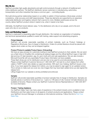### <span id="page-2-0"></span>Who We Are

SpillTech provides high-quality absorbents and spill control products through a network of traditional and online distributor partners. The SpillTech distributor serves customers in manufacturing, automotive, transportation and other industries that share a common goal — controlling liquids.

We build strong partner relationships based on our ability to satisfy in three business-critical areas: product consistency, order accuracy and staff responsiveness. These key elements are supported by an expansive nationwide distribution and logistics network that's second to none. Multiple warehouses across the country deliver SpillTech product where it needs to be, when it needs to be there.

Ultimately, the SpillTech brand delivers value. To the distributors who rely on our people, and to the end users who rely on our products.

# Sales and Marketing Support

SpillTech is dedicated to expanding sales through distribution. We maintain an organization of marketing and technical representatives qualified to assist with training, sales support and advertising programs.

#### Printed Materials

SpillTech will provide reasonable quantities of printed materials, such as Product Catalogs or Regulations Brochures, free of charge to Distributors. Orders for printed literature should be placed with regular stock orders so they can be shipped together.

#### Product Photos & Loadable Product Specs (Onboarding)

We have an easy process for customers looking to load SpillTech products to their website. We can send you a flash drive or DropBox link containing all catalog images and the official SpillTech logos in high (300 dpi) and low (72 dpi) resolution .jpg, for use in both print and web applications. We can also include a Microsoft Excel file with any exportable Product Spec information we have available.

These flash drives are not for distribution and are only to be used for promotional/advertising artwork. Please contact SpillTech Customer Service at 1-800-228-3877 and ask for a short release form (often called a "DARF") which also details our approval policies. With each new Catalog, SpillTech issues a new drive. If you have signed the release form before, you may be asked to sign again for an updated version. This is simply to make sure we cover any new images that may have been added since you last signed the release form.

Lifting images from our website is strictly prohibited and enforced.

#### **Samples**

SpillTech will provide reasonable quantities of product samples free of charge to Distributors. Samples are typically pieces or portions of full product (i.e. 1 pad or a 10ft piece of roll), however full bale/roll/pieces are available at full price. Please contact your SpillTech Customer Service Representative at 1-800-228-3877 for more information.

#### Product / Training Assistance

Our SpillTech Sales Team has many years of experience in the sorbent industry and is available to train Distributors and their sales forces on all aspects of sorbent products and applications. Please contact your SpillTech Account Manager to schedule an informational workshop. Follow this link to [Find Your](https://www.spilltech.com/webapp/wcs/stores/servlet/FindYourSalesRepView?langId=-1&storeId=10052&catalogId=10151) [Sales Rep.](https://www.spilltech.com/webapp/wcs/stores/servlet/FindYourSalesRepView?langId=-1&storeId=10052&catalogId=10151)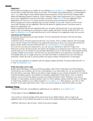#### <span id="page-3-0"></span>Website

# **Registration**

We strongly encourage you to register for our website at [www.spilltech.com.](http://www.spilltech.com/) Registered Distributors will have access to areas that other users do not have. This includes: personalized pricing - downloadable in .xls or .csv, Sales Report Cards, Bulletin Board Announcements, Product and Pricing Changes alerts, Sales and Marketing Support Literature, Online Ordering, Order History (going back up to 3 years!) and much more. Registration is free and only takes a moment. Follow [this link f](https://www.spilltech.com/webapp/wcs/stores/servlet/UserRegistrationForm?langId=-1&storeId=10052&catalogId=10151&new=Y)or your registration form. Registration will "opt you in" to receive product and pricing announcements from SpillTech. We encourage you to have a separate log in for each member of your staff. There is no limit to how many staff members can be registered. We find that allows for greater security if someone were to leave your organization, etc.

Please understand that anyone registering with your company will have access to your price lists and history. If this is something you would like to restrict, please call Robin Thornett at 800-228-3877 or email [robint@spilltech.com t](mailto:robint@spilltech.com)o add restrictions as to who is allowed to be registered under your account.

#### Usernames and Passwords

Usernames and passwords are case-sensitive. The only requirement we have is that they are least 6 characters long.

3 attempts with an incorrect password will "lock" your access. This is a safety measure. We encourage you to use the "Forgot Your Password" link before this becomes an issue. If you have been locked out, please contact Robin Thornett at 800-228-3877 or [robint@spilltech.com t](mailto:robint@spilltech.com)o be unlocked.

If you are not sure what your password is, you can use your username to start the "Forgot Your Password" process. By this process, the system will reassign you a password and e-mail it to you. (The email can take up to 20 minutes to come through depending on your e-mail provider.) The password will be a jumble of letters and numbers. The first time you use that jumble as your password, the system will immediately take you to a page where you can reset the jumble to a password you are more likely to remember. (\*Note: Be sure to use the jumble in the space marked "old password" on that page.)

If you have any questions or problems with the website, please call Robin Thornett at 800-228-3877 or e- mail [robint@spilltech.com](mailto:robint@spilltech.com)

#### Profile Information and E-mails

Bulletin Board Messages, Product and Pricing updates, Web Order Confirmations and Web Shipping Confirmations are, by default, sent to the e-mail address in your web profile. So, it is very important that this information is accurate. While we are able to make changes to your contact information for our internal ordering and billing systems, the website is completely independent of that system. Also, for security reasons, we do not have the ability to access your profile information online. Therefore, if you have a change in e-mail address, physical address, ship to or bill to address, please remember that you will need to make those updates to your profile yourself at [www.spilltech.com.](http://www.spilltech.com/) After signing in, just click on "My Account" in the upper right-hand corner. There, you can find places to make all the edits you need.

#### Distributor Pricing

• Distributor Price Lists are available by registering on our website at [www.spilltech.com](http://www.spilltech.com/)

• Prices listed on this are distributor net cost.

• Any product or pricing changes will be announced via our Bulletin Board, which e-mails to all registered users of the website and posts to an area of the website (Distributor Tools/Bulletin Board)

• SpillTech will strive to give 30 days' notice of any price changes.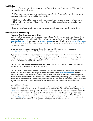#### <span id="page-4-0"></span>Credit Policy

• Payment Terms and credit line are subject to SpillTech's discretion. Please call 251-694-0102 if you have questions or credit issues.

• SpillTech can process payments by check, Visa, MasterCard or American Express. If using a credit card, you must submit that card at the time of order.

• While it can be different from card to card, most cards will put the order amount on a "pending" or "hold" at the time of order entry. They will then officially post the charge to your account when your order ships.

• If your account its set up with terms, you cannot use a credit card once the order has invoiced.

# Inventory, Orders and Shipping

#### Placing an Order, Processing and Invoicing

SpillTech offers you several ways to place an order with us. We do require a *written* purchase order, so please use whatever method is easiest for you. You can order by fax at 800-872-3764, by e-mail to [sales@spilltech.com,](mailto:sales@spilltech.com) via our website at [www.spilltech.com,](http://www.spilltech.com/) or via online live chat at [www.spilltech.com.](http://www.spilltech.com/) An order confirmation will be sent to you via e-mail (if we have your e-mail on file) or fax once your order has been processed.

Once your order is processed, you can follow the progress of by logging in to your account at [www.spilltech.com,](http://www.spilltech.com/) clicking on "My Account" then "Account History"

If you are set up with terms, you will be invoiced for your shipment on the day your order ships. By default, this invoice will be sent via US Post. However, there are a few alternatives to post: If you are registered for our website, you can e-mail yourself any invoice that has not been paid yet. Just sign in, click on "My Account", then "Order History".

Next to each order that has shipped but not been paid, you will see an envelope icon. Click there and the invoice will be promptly delivered to your inbox.

Or, if you prefer a more direct method, you can receive invoices and credit card receipts automatically via email. If you are interested in this program, please send an e-mail to [sales@spilltech.com w](mailto:sales@spilltech.com)ith the contact name and e-mail address to get set up to receive the e-mails. We can set up multiple people within your organization to receive these e-mails. At the end of a day of shipping, you will receive 1 e-mail with all the invoices or credit card receipts processed that day attached in .pdf format. (Please note once signed up for email, you will no longer receive mailed invoices. We cannot offer both methods.)

#### Stocked Policy / Delivery

Unless noted otherwise, all items in the most recent SpillTech catalog are stocked in Mobile, Alabama. Certain SpillTech® products are also [available from SpillTech's other four warehouse facilities \(see FOB](#page-8-0) Points for location and zip codes). SpillTech will always ship from the closest warehouse that stocks the products you have ordered. Because of the different items in each warehouse, any questions about where an item might ship from can be directed to our Customer Service team at 1-800-228-3877 or [sales@spilltech.com](mailto:sales@spilltech.com) any time prior to ordering. If shipments must go from farther warehouses due to non- stock items, the Distributor is responsible for freight, unless otherwise specified.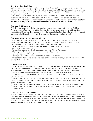# <span id="page-5-0"></span>Drop Ship / Blind Ship Delivery

SpillTech does not charge an extra fee to drop ship orders directly to your customers. There are no minimum order requirements for stock items (see for [Custom and MTO products](http://www.spilltech.com/distguidelines.faces%2314) section for exceptions). Also, upon request, we will blind ship orders, meaning that all paperwork will appear as if the shipment came from the Distributor.

Distributor's PO must clearly state if you wish blind shipments to be made. Both drop and blind shipments will only be made in the continental US. Please note that some carriers will charge an additional fee for this service which will be the responsibility of the Distributor. Freight and any additional charges will be prepaid by SpillTech and added to the invoice unless otherwise noted.

# Truckload Split Shipments

Split shipments are only available on full truckload orders. Distributors must notify their SpillTech Customer Service Representative at the time of order to make arrangements. Any additional fees incurred by splitting a truckload shipment will be the responsibility of the Distributor and will be invoiced accordingly. SpillTech will strive to alert Distributors of these costs prior to shipment.

# Emergency Shipments (after hours / weekends)

For emergency service from SpillTech, please call our Emergency Spill Hotline at 1-770-929-6609. This Hotline is available 24 hours a day, 7 days a week, 365 days per year. In the case of a spill emergency after hours or on weekends, there are some rules to be observed:

• We are only able to open the Hastings, PA; Mobile, AL or Houston, TX locations for afterhours/weekend shipments.

- Full truckload shipments will only be available out of our Mobile, AL location.
- All emergency shipments must be ordered in full pallet quantities.
- No private labeling will be available.
- No freight deals will be observed for afterhours/weekend shipments.

• Any additional charges that carriers may pass on for afterhours, hotshot, overnight, etc services will be charged to the Distributor.

# Custom / MTO Items

SpillTech is happy to provide custom products for your market. Minimum quantities will be required. Just call your Sales Representative or the Customer Service Team and let us know what you need.

Any items bought from an outside supplier will be subject to that supplier's minimum requirements. Distributors are responsible for freight on any custom items shipped from outside vendors.

Depending on the complexity of the custom work, a quote could take anywhere from 2 to 5 business days to complete.

Custom and MTO items are subject to a product quantity variance of +/- 10%, which must be accepted by the Distributor. Purchase Orders will serve as agreement and SpillTech will strive to inform you of the variance amount prior to shipping.

Custom and MTO items supplied by SpillTech will ship within 10 business days from the date of order. Custom and MTO items cannot be returned unless there is a product defect. Please see return details discussed below.

# Drop Ship Items from our Vendors

SpillTech carries several items that drop ship directly from our suppliers; therefore, longer lead times may apply. Please speak with your SpillTech Customer Service Representative to confirm specific lead times. Unless otherwise specified, the Distributor is responsible for additional fees imposed on SpillTech by the supplier. This could include, but is not limited to, freight charges and taxes. These fees will be prepaid by SpillTech and added to the invoice.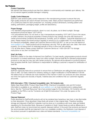#### <span id="page-6-0"></span>Our Products

#### Product Guarantee

We warrant that these products are free from defects in workmanship and materials upon delivery. We do not warrant against possible damage in shipping.

#### Quality Control Measures

SpillTech uses several quality control measures in the manufacturing process to ensure that only high-quality products are used to fill each and every order. Basic product inspections are performed on a continuous basis for each production run, including: product dimensions, bonding pattern and sealing, perforations, packaging weight, profile and absorbency.

#### Proper Storage

• For standard polypropylene products: store in a cool, dry place, out of direct sunlight. Storage temperature should be below 120°F (49°C).

• For polyurethane items: Do not store or use in temperatures exceeding 120°F (49°C) Due to the nature of softer urethane, the physical properties of these products may change over time with exposure to certain environmental conditions like temperature, humidity, and UV radiation. Typical life expectancy is 5 years. Please inspect the stored product regularly to ensure it is in a usable state. For more details and for chemical compatibility, please call Customer Service at 800.228.3877 or use our live chat feature at [www.spilltech.com.](http://www.spilltech.com/) These products are for temporary use only. Pick up after each use, clean, then store properly. Do not leave down for extended periods of time or drive over with vehicles.

• For all other items: Please contact SpillTech Customer Service at 1-800-228-3877 for storage instructions on any item not listed here.

#### Shelf Life Policy

Shelf life is based on the date of shipment from SpillTech. For best results, polypropylene products should be stored in a covered warehouse, away from direct sunlight. Normal shelf life for standard polypropylene products is one year but may vary with certain products. No refunds will be allowed on products beyond their accepted shelf life. Each Distributor is responsible for fulfilling a customer's request for certification of shelf life.

#### Testing Procedures

SpillTech rigorously tests all our products to ensure that our Distributors are selling the best products we have to offer. Our basic method for sorbency testing is a slight modification of ASTM Method F726-99. We believe that our methods are more indicative of the manner in which our products are used, because we mimic the types and viscosity of liquids, material sizes and conditions that our customers regularly encounter.

#### SDS Information / PDS / Chemical Compatibility Lists / Kit Contents Lists

Safety Data Sheet (SDS), Product Data Sheet (PDS), Chemical Compatibility Lists and Kit Content information is available on our website at [www.spilltech.com o](http://www.spilltech.com/)n most stocked and/or catalog-listed items. See the "Technical Resources" tab of any product page for this information. Kit Contents Lists are available on the PDS or via the "Contents List & Spill Kit Instructions" link under the specs on the Product Page.

#### Disposal Statement

Fluids absorbed by SpillTech® products will not be rendered less hazardous, less toxic or less flammable by their absorption. Once absorbed, these fluids will remain in their original state. Therefore handling, storage and disposal of SpillTech materials must be done so in compliance with local, state and federal regulations *for the absorbed fluids.* Because of variations in fluids' hazard levels as well as differences in laws, SpillTech does not recommend any specific disposal method. In the event that products are beyond the recommended shelf life and deemed to be in an unsellable condition, the Distributor must dispose of the product pursuant to applicable local, state and federal standards. [Chemical Compatibility](https://www.spilltech.com/wcsstore/SpillTechUSCatalogAssetStore/Attachment/documents/ccg/SPILLTECHCHEMCOMPAT.pdf) List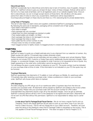#### <span id="page-7-0"></span>Discontinued Items

SpillTech occasionally has to discontinue some items due to lack of inventory, loss of supplier, change in specs, etc. SpillTech strives to give you at least 30 days' notice of these changes. Notices will be sent in the form of a mass-style email blast, sent to all registered users of our website (register here). Once an item is discontinued, we can no longer accept returns of those items. We will allow a 30-day grace period from date of notice to return any unused items. Distributors will be responsible for incoming/outbound freight on these returns and there is a 10% restocking fee for private labeled items.

# Living Rules of Packaging

This set of rules helps our plant crews and suppliers understand SpillTech's packaging requirements. By following the same set of standards, packaging will be consistent and of high quality:

- Each label's information is correct
- Each label is straight
- Each package has only one label
- Labels face out when packages are stacked on pallet
- Fully-loaded pallets are straight, not tilted
- Each package that ships is not damaged in any way
- Each package that ships is clean
- Each pallet has the correct number of units
- Product does not ship on broken pallets
- Each bagged product is tightly closed; no bagged product is closed with excess air (no balloon bags)

# Freight Policy

#### Freight Quotes

SpillTech is happy to quote you a freight estimate prior to any shipment from our selection of carriers. Any freight quotes are valid for 10 business days (unless otherwise noted).

Please understand that quotes are just estimates and are subject to change upon actual shipping. Rates quoted do not include COD, Customs or Duties Fees and/or additionally insured shipment charges. Other charges, i.e. accessorial charges, may be applied to order if service is not requested at time of quote. Any freight appearing on the order entry confirmation cannot be assumed to be final.

You will always be given a quote number to reference on your PO. The quote number must be indicated on your purchase order at time of order. If this information is not indicated on your PO the quote may not be honored.

#### Truckload Shipments

SpillTech guarantees that shipments of 15 pallets or more will leave our Mobile, AL warehouse within 10 business days after receiving a purchase order. Unless a preference is noted on your purchase order, SpillTech will choose which items to topload.

#### UPS Shipments

All orders shipping via UPS will go out of our warehouse within 2 business days from the time we process your purchase order. All shipments will be prepaid by SpillTech and added to the invoice unless otherwise noted. Please note your purchase order with the account number for UPS Collect. Overnight/Next Day shipments require a sign off on the elevated charges. Once we get an estimate, SpillTech Customer Service will fax a form to the Distributor to be signed and sent back. Shipments will not be sent via UPS Red without this permission. SpillTech is not responsible for delays due to carrier issues.

A note about Fed Ex Package/Small Parcel Service: We do not have a regular Fed Ex pick up. Therefore, Fed Ex will charge SpillTech \$3 *per piece* to pick up your items, even if you use your Fed Ex Collect Account. Fed Ex will not charge this to your collect account. Therefore, we must pass this along to the Distributor when Fed Ex Package Collect is requested on the invoice. This is only applies to Small Parcel/Package Service. This does not apply to Fed Ex Freight/LTL/TL.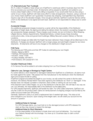# <span id="page-8-0"></span>LTL Shipments (Less Than Truckload)

All LTL orders (15 pallets or less) will go out of SpillTech's warehouse within 2 business days from the time we process your purchase order. All shipments will be prepaid by SpillTech and added to your invoice unless freight collect or third party billing is requested. If you would prefer that we ship using a carrier of your choice, SpillTech will make every effort to make arrangements. However, using a carrier of your choice means SpillTech can't guarantee 2 business day shipping. Overnight/Next Day shipments require a sign off on the elevated charges. Once we get an estimate, SpillTech Customer Service will fax a form to the Distributor to be signed and sent back. SpillTech is not responsible for delays due to carrier issues.

# Accessorial Charges

Any additional accessorial charges invoiced by a carrier will be the responsibility of the Distributor regardless of freight deals. By signing and dating the delivery ticket, the receiver is accepting charges for any accessorial charges assessed. These charges could include, but are not limited to: Blind Shipping, Liftgate Service, Delivery Appointments, Residential Delivery, Limited-Access Areas (including constructions sites, mines and government buildings), Military/Secured Location Delivery or Remote Locations.

If accessorial charges are billed after the freight has been delivered, these charges will be billed back to the distributor. If charges are refused, SpillTech will no longer prepay and add freight charges for any future shipments. All shipments will have to be charged on the distributor's freight account.

# FOB Points

The following are FOB points and their ZIP Codes for estimating your own freight.

- Mobile, Alabama 36615
- Hastings, Pennsylvania 16646
- Houston, Texas 77028
- Puyallup (Seattle), WA 98371
- Point Edward, ON Canada N7V 1X4

# Canadian Warehouse Orders

A 5% Service Fee will be added to all orders shipping from our Point Edward, ON location.

# Claims for Loss, Damage or Shortage by Freight Carriers

If a carrier delivers a short shipment or damaged material from SpillTech to a Distributor, all claims must be made against the carrier. Title passes from the manufacturer to the Distributor when the Distributor signs and accepts the Bill of Lading.

If SpillTech prepaid and added the freight to your invoice, we will contact the carrier to file the claim. However, the Delivery Receipt MUST have been signed by the Distributor as "short" or "damaged". If the Receipt does not indicate a problem in shipment, there is little or nothing we can do to help.

If the shipment went Collect freight, it is up to the Distributor to file the claim. We will help in any way we can, but ultimately, the responsibility falls to the Distributor as the billed party.

For UPS prepaid shipments, SpillTech will handle the claim. For UPS Collect shipments, SpillTech can only file a claim for the product itself. Claims for reimbursement of shipping charges must be filed by the collect account holder (per UPS policy).

Generally, SpillTech's policy is to send a replacement item if needed right away. This ships at full price charged to your account. Upon closing of the freight claim, we will credit your account for the amount in question.

#### Additional Notes for Damage

For UPS Damage claims, you must hold on to the damaged product until UPS releases the claim as they may choose to inspect the damage.

#### Additional Notes for Short Shipments

It is the responsibility of the receiver to break down and count all deliveries. You must sign your Delivery Receipt with the shortage. You have up to 3 business days to claim a short shipment.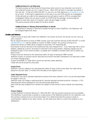#### <span id="page-9-0"></span>Additional Notes for Lost Shipments

The best process we have found for those times when some of your shipment, but not all of your shipment shows up is to 1) wait 24 hours. Often UPS will catch it overnight and deliver it the next day. 2) Call us! at 800.228.3877 or use our Live Chat feature at [www.spilltech.com](http://www.spilltech.com/) to let us know. 3) We'll get a replacement on the way to you and UPS will start an investigation. 4) We will enter an order for the replacement but will need to wait for UPS to complete their investigation before we can issue a credit. 5) If UPS finds the package, we encourage all parties to have them return it to sender, which will also trigger a credit. This same process holds similarly for all other carriers.

#### Additional Notes on Refusing Shipments/Return to Sender

If a shipment is refused or returned to sender through no fault of SpillTech, the Distributor will be charged freight both ways.

#### Credits and Returns

If there is ever an issue with orders from SpillTech, the sooner we know, the sooner we can come up with a solution!

We do require all returns to have an RMA number (Just call Customer Service at 800.228.3877 or email [sales@spilltech.com](mailto:sales@spilltech.com) with the details to receive an RMA number). Any product arriving at our warehouse without an RMA will be charged an automatic 10% restocking fee.

All products must be returned to the warehouse they were shipped from. If you need help with a return address, please let us know. (If product is returned to the wrong location, shipping charges may be assessed to get it to the correct location, so please don't hesitate to double check with us before you send it out!!)

Product must be returned to the warehouse within 30 days of issuing an RMA number.

SpillTech's policy on product returns assumes the product has been maintained in an area that is within our [Proper Storage](http://www.spilltech.com/distguidelines.faces%2320) policy.

Custom and Made-To-Order items cannot be returned unless defective.

Credit will only be issued for price paid.

#### Invoice Errors

SpillTech must be notified of any discrepancies within 30 days of the invoice date. No credit will be issued for any item after 12 months from the date of the original invoice.

#### Order Placement Errors

Distributors may return standard absorbent products that were ordered in error, but are still responsible for freight in and out.

SpillTech does not charge a restocking fee for returned standard stocked products. However, a 10% restocking fee will be assessed for any returned private label items.

Items that are drop shipped from vendors are subject to that vendor's return policies and restocking fees.

#### Product Defects

Contact SpillTech Customer Service at 1-800-228-3877 with any product issues as soon as possible. The Distributor must provide a sample or a clear picture of the defective product for our inspection, and the tracking numbers found on the product label. If it is determined that the product is faulty in workmanship, material or any other manner, we will make every effort to correct the situation to your satisfaction.